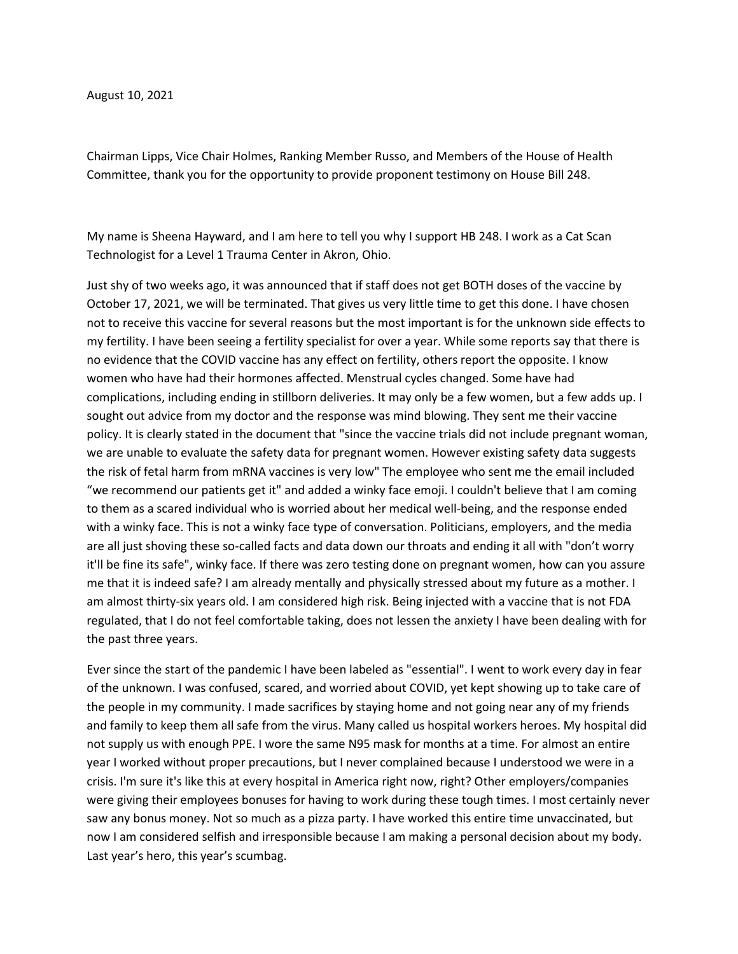August 10, 2021

Chairman Lipps, Vice Chair Holmes, Ranking Member Russo, and Members of the House of Health Committee, thank you for the opportunity to provide proponent testimony on House Bill 248.

My name is Sheena Hayward, and I am here to tell you why I support HB 248. I work as a Cat Scan Technologist for a Level 1 Trauma Center in Akron, Ohio.

Just shy of two weeks ago, it was announced that if staff does not get BOTH doses of the vaccine by October 17, 2021, we will be terminated. That gives us very little time to get this done. I have chosen not to receive this vaccine for several reasons but the most important is for the unknown side effects to my fertility. I have been seeing a fertility specialist for over a year. While some reports say that there is no evidence that the COVID vaccine has any effect on fertility, others report the opposite. I know women who have had their hormones affected. Menstrual cycles changed. Some have had complications, including ending in stillborn deliveries. It may only be a few women, but a few adds up. I sought out advice from my doctor and the response was mind blowing. They sent me their vaccine policy. It is clearly stated in the document that "since the vaccine trials did not include pregnant woman, we are unable to evaluate the safety data for pregnant women. However existing safety data suggests the risk of fetal harm from mRNA vaccines is very low" The employee who sent me the email included "we recommend our patients get it" and added a winky face emoji. I couldn't believe that I am coming to them as a scared individual who is worried about her medical well-being, and the response ended with a winky face. This is not a winky face type of conversation. Politicians, employers, and the media are all just shoving these so-called facts and data down our throats and ending it all with "don't worry it'll be fine its safe", winky face. If there was zero testing done on pregnant women, how can you assure me that it is indeed safe? I am already mentally and physically stressed about my future as a mother. I am almost thirty-six years old. I am considered high risk. Being injected with a vaccine that is not FDA regulated, that I do not feel comfortable taking, does not lessen the anxiety I have been dealing with for the past three years.

Ever since the start of the pandemic I have been labeled as "essential". I went to work every day in fear of the unknown. I was confused, scared, and worried about COVID, yet kept showing up to take care of the people in my community. I made sacrifices by staying home and not going near any of my friends and family to keep them all safe from the virus. Many called us hospital workers heroes. My hospital did not supply us with enough PPE. I wore the same N95 mask for months at a time. For almost an entire year I worked without proper precautions, but I never complained because I understood we were in a crisis. I'm sure it's like this at every hospital in America right now, right? Other employers/companies were giving their employees bonuses for having to work during these tough times. I most certainly never saw any bonus money. Not so much as a pizza party. I have worked this entire time unvaccinated, but now I am considered selfish and irresponsible because I am making a personal decision about my body. Last year's hero, this year's scumbag.